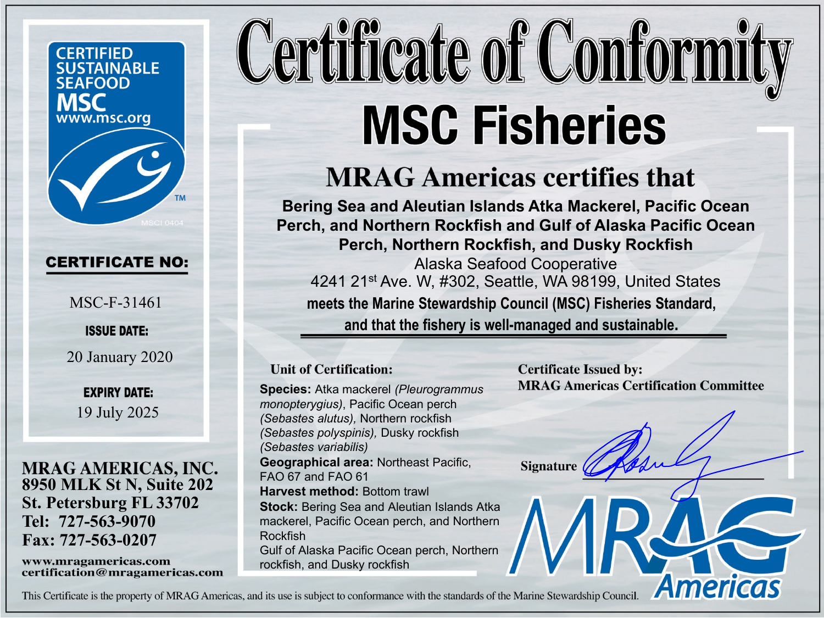**CERTIFIED SUSTAINABLE SEAFOOD** www.msc.org

## **CERTIFICATE NO:**

MSC-F-31461

**ISSUE DATE:** 

20 January 2020

**EXPIRY DATE:** 19 July 2025

**8950 MLK St N, Suite 202 St. Petersburg FL 33702 Tel: 727-563-9070 Fax: 727-563-0207** 

www.mragamericas.com certification@mragamericas.com

## Certificate of Conformity **MSC Fisheries**

## **MRAG Americas certifies that**

**Bering Sea and Aleutian Islands Atka Mackerel, Pacific Ocean Perch, and Northern Rockfish and Gulf of Alaska Pacific Ocean Perch, Northern Rockfish, and Dusky Rockfish** Alaska Seafood Cooperative 4241 21st Ave. W, #302, Seattle, WA 98199, United States **meets the Marine Stewardship Council (MSC) Fisheries Standard, and that the fishery is well-managed and sustainable.** 

## **Unit of Certification:**

**Species:** Atka mackerel *(Pleurogrammus monopterygius)*, Pacific Ocean perch *(Sebastes alutus),* Northern rockfish *(Sebastes polyspinis),* Dusky rockfish *(Sebastes variabilis)*  **Geographical area:** Northeast Pacific, FAO 67 and FAO 61 **Harvest method: Bottom trawl Stock:** Bering Sea and Aleutian Islands Atka mackerel, Pacific Ocean perch, and Northern Rockfish Gulf of Alaska Pacific Ocean perch, Northern rockfish, and Dusky rockfish

**Certificate Issued by: MRAG Americas Certification Committee** 

**Americas** 

**Signature** 

This Certificate is the property of MRAG Americas, and its use is subject to conformance with the standards of the Marine Stewardship Council.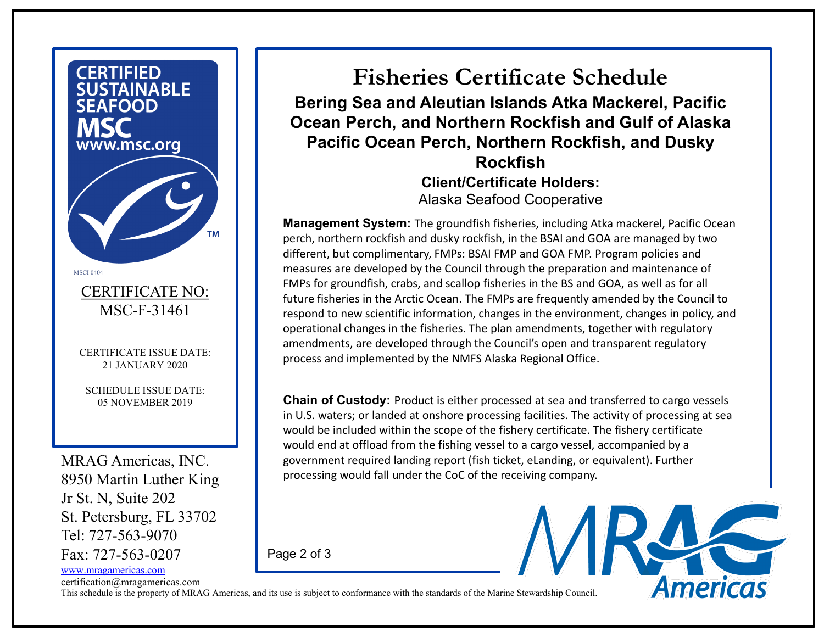

certification@mragamericas.com

This schedule is the property of MRAG Americas, and its use is subject to conformance with the standards of the Marine Stewardship Council.

Page 2 of 3

**Fisheries Certificate Schedule Bering Sea and Aleutian Islands Atka Mackerel, Pacific Ocean Perch, and Northern Rockfish and Gulf of Alaska Pacific Ocean Perch, Northern Rockfish, and Dusky Rockfish Client/Certificate Holders:** Alaska Seafood Cooperative

**Management System:** The groundfish fisheries, including Atka mackerel, Pacific Ocean perch, northern rockfish and dusky rockfish, in the BSAI and GOA are managed by two different, but complimentary, FMPs: BSAI FMP and GOA FMP. Program policies and measures are developed by the Council through the preparation and maintenance of FMPs for groundfish, crabs, and scallop fisheries in the BS and GOA, as well as for all future fisheries in the Arctic Ocean. The FMPs are frequently amended by the Council to respond to new scientific information, changes in the environment, changes in policy, and operational changes in the fisheries. The plan amendments, together with regulatory amendments, are developed through the Council's open and transparent regulatory process and implemented by the NMFS Alaska Regional Office.

**Chain of Custody:** Product is either processed at sea and transferred to cargo vessels in U.S. waters; or landed at onshore processing facilities. The activity of processing at sea would be included within the scope of the fishery certificate. The fishery certificate would end at offload from the fishing vessel to a cargo vessel, accompanied by a government required landing report (fish ticket, eLanding, or equivalent). Further processing would fall under the CoC of the receiving company.